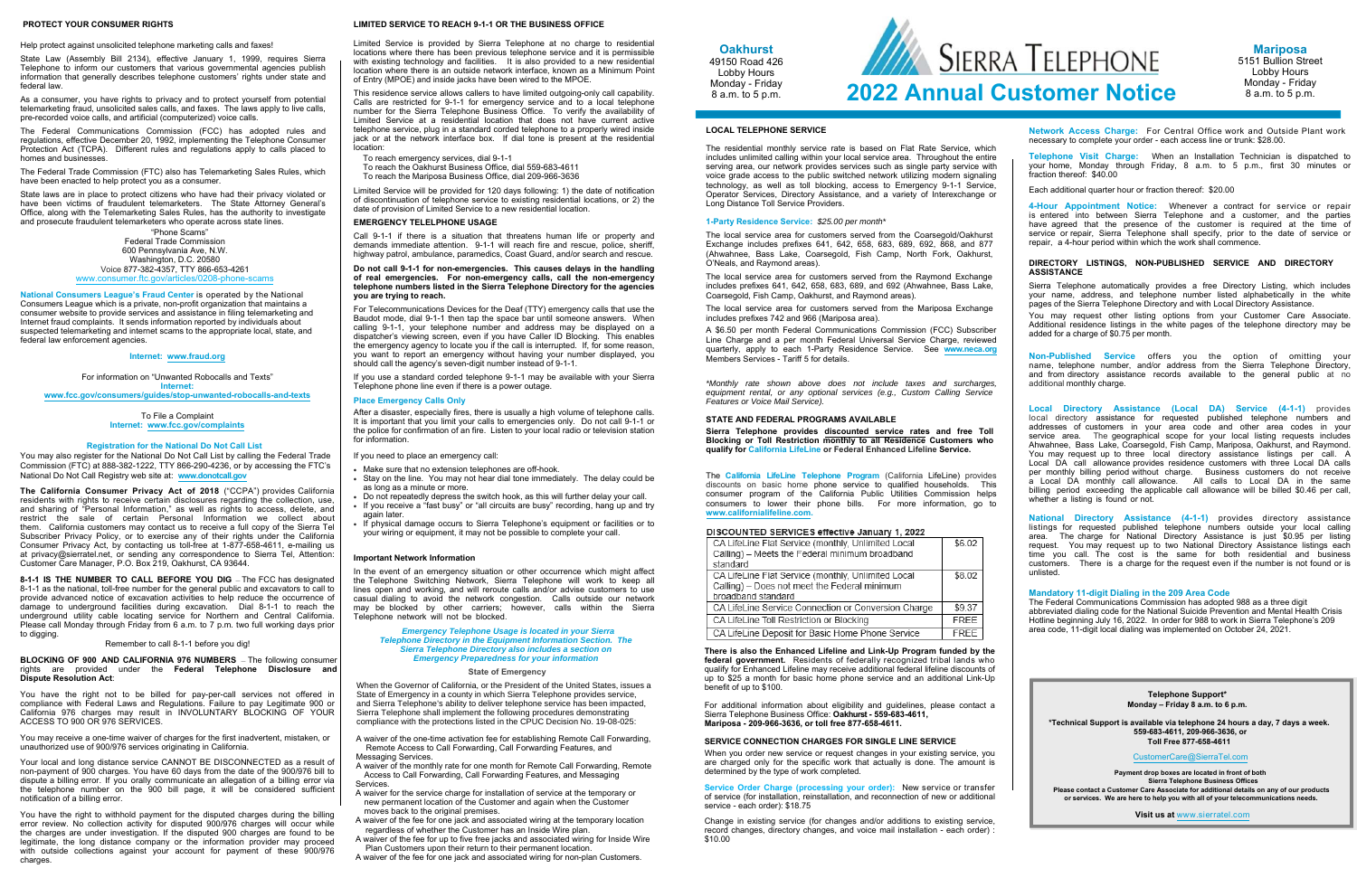## **PROTECT YOUR CONSUMER RIGHTS**

Help protect against unsolicited telephone marketing calls and faxes!

State Law (Assembly Bill 2134), effective January 1, 1999, requires Sierra Telephone to inform our customers that various governmental agencies publish information that generally describes telephone customers' rights under state and federal law.

The Federal Trade Commission (FTC) also has Telemarketing Sales Rules, whichhave been enacted to help protect you as a consumer.

As a consumer, you have rights to privacy and to protect yourself from potential telemarketing fraud, unsolicited sales calls, and faxes. The laws apply to live calls, pre-recorded voice calls, and artificial (computerized) voice calls.

> "Phone Scams" Federal Trade Commission 600 Pennsylvania Ave, N.W.Washington, D.C. 20580 Voice 877-382-4357, TTY 866-653-4261 www.consumer.ftc.gov/articles

The Federal Communications Commission (FCC) has adopted rules and regulations, effective December 20, 1992, implementing the Telephone Consumer Protection Act (TCPA). Different rules and regulations apply to calls placed to homes and businesses.

State laws are in place to protect citizens who have had their privacy violated or have been victims of fraudulent telemarketers. The State Attorney General's Office, along with the Telemarketing Sales Rules, has the authority to investigate and prosecute fraudulent telemarketers who operate across state lines.

You may also register for the National Do Not Call List by calling the Federal Trade Commission (FTC) at 888-382-1222, TTY 866-290-4236, or by accessing the FTC's National Do Not Call Registry web site at: **www.donotcall.gov**

**National Consumers League's Fraud Center** is operated by the National Consumers League which is <sup>a</sup> private, non-profit organization that maintains <sup>a</sup> consumer website to provide services and assistance in filing telemarketing and Internet fraud complaints. It sends information reported by individuals about suspected telemarketing and internet scams to the appropriate local, state, and federal law enforcement agencies.

### **Internet: www.fraud.org**

For information on "Unwanted Robocalls and Texts" **Internet: www.fcc.gov/consumers/guides/stop-unwanted-robocalls-and-texts**

> To File a Complaint **Internet: www.fcc.gov/complaints**

## **Registration for the National Do Not Call List**

**The California Consumer Privacy Act of <sup>2018</sup>** ("CCPA") provides California residents with rights to receive certain disclosures regarding the collection, use, and sharing of "Personal Information," as well as rights to access, delete, and restrict the sale of certain Personal Information we collect about them. California customers may contact us to receive <sup>a</sup> full copy of the Sierra Tel Subscriber Privacy Policy, or to exercise any of their rights under the California Consumer Privacy Act, by contacting us toll-free at 1-877-658-4611, e-mailing us at privacy@sierratel.net, or sending any correspondence to Sierra Tel, Attention: Customer Care Manager, P.O. Box 219, Oakhurst, CA 93644.

**8-1-1 IS THE NUMBER TO CALL BEFORE YOU DIG** — The FCC has designated 8-1-1 as the national, toll-free number for the general public and excavators to call to provide advanced notice of excavation activities to help reduce the occurrence of damage to underground facilities during excavation. Dial 8-1-1 to reach the underground utility cable locating service for Northern and Central California. Please call Monday through Friday from 6 a.m. to 7 p.m. two full working days priorto digging.

## Remember to call 8-1-1 before you dig!

**BLOCKING OF <sup>900</sup> AND CALIFORNIA <sup>976</sup> NUMBERS** — The following consumer rights are provided under the **Federal Telephone Disclosure and Dispute Resolution Act**:

You have the right not to be billed for pay-per-call services not offered in compliance with Federal Laws and Regulations. Failure to pay Legitimate <sup>900</sup> or California 976 charges may result in INVOLUNTARY BLOCKING OF YOUR.<br>^CCESS.TO.999.OB.976.SER\/ICES ACCESS TO 900 OR 976 SERVICES.

You may receive <sup>a</sup> one-time waiver of charges for the first inadvertent, mistaken, or unauthorized use of 900/976 services originating in California.

Your local and long distance service CANNOT BE DISCONNECTED as <sup>a</sup> result of non-payment of 900 charges. You have 60 days from the date of the 900/976 bill to dispute a billing error. If you orally communicate an allegation of <sup>a</sup> billing error via the telephone number on the <sup>900</sup> bill page, it will be considered sufficient notification of a billing error.

You have the right to withhold payment for the disputed charges during the billing error review. No collection activity for disputed 900/976 charges will occur while the charges are under investigation. If the disputed <sup>900</sup> charges are found to be legitimate, the long distance company or the information provider may proceed with outside collections against your account for payment of these 900/976 charges.

In the event of an emergency situation or other occurrence which might affect the Telephone Switching Network, Sierra Telephone will work to keep all lines open and working, and will reroute calls and/or advise customers to use casual dialing to avoid the network congestion. Calls outside our network may be blocked by other carriers; however, calls within the Sierra Telephone network will not be blocked.

Awaiver of the one-time activation fee for establishing Remote Call Forwarding, Remote Access to Call Forwarding, Call Forwarding Features, and Messaging Services

 Awaiver of the monthly rate for one month for Remote Call Forwarding, Remote Access to Call Forwarding, Call Forwarding Features, and Messaging **Services** 

### **LIMITED SERVICE TO REACH 9-1-1 OR THE BUSINESS OFFICE**

# SIERRA TELEPHONE **2022 Annual Customer Notice**

Limited Service is provided by Sierra Telephone at no charge to residential locations where there has been previous telephone service and it is permissible with existing technology and facilities. It is also provided to a new residential location where there is an outside network interface, known as a Minimum Point of Entry (MPOE) and inside jacks have been wired to the MPOE.

This residence service allows callers to have limited outgoing-only call capability. Calls are restricted for 9-1-1 for emergency service and to a local telephone number for the Sierra Telephone Business Office. To verify the availability of Limited Service at a residential location that does not have current active telephone service, plug in a standard corded telephone to a properly wired inside jack or at the network interface box. If dial tone is present at the residential location:

> The local service area for customers served from the Raymond Exchange<br>includes profixes 641, 642, 658, 693, 690, and 602 (Abyrahnee, Bass Lake, includes prefixes 641, 642, 658, 683, 689, and <sup>692</sup> (Ahwahnee, Bass Lake, Coarsegold, Fish Camp, Oakhurst, and Raymond areas).

To reach emergency services, dial 9-1-1

To reach the Oakhurst Business Office, dial 559-683-4611

To reach the Mariposa Business Office, dial 209-966-3636

Limited Service will be provided for 120 days following: 1) the date of notification of discontinuation of telephone service to existing residential locations, or 2) the date of provision of Limited Service to a new residential location.

### **EMERGENCY TELELPHONE USAGE**

Call 9-1-1 if there is a situation that threatens human life or property and demands immediate attention. 9-1-1 will reach fire and rescue, police, sheriff, highway patrol, ambulance, paramedics, Coast Guard, and/or search and rescue.

> When you order new service or request changes in your existing service, you are charged only for the specific work that actually is done. The amount is determined by the type of work completed.

> **Service Order Charge (processing your order):** New service or transfer of service (for installation, reinstallation, and reconnection of new or additional service - each order): \$18.75

### **Do not call 9-1-1 for non-emergencies. This causes delays in the handling of real emergencies. For non-emergency calls, call the non-emergency telephone numbers listed in the Sierra Telephone Directory for the agencies you are trying to reach.**

For Telecommunications Devices for the Deaf (TTY) emergency calls that use the Baudot mode, dial 9-1-1 then tap the space bar until someone answers. When calling 9-1-1, your telephone number and address may be displayed on a dispatcher's viewing screen, even if you have Caller ID Blocking. This enables the emergency agency to locate you if the call is interrupted. If, for some reason, you want to report an emergency without having your number displayed, you should call the agency's seven-digit number instead of 9-1-1.

If you use a standard corded telephone 9-1-1 may be available with your Sierra Telephone phone line even if there is a power outage.

**Non-Published Service** offers you the option of omitting your name, telephone number, and/or address from the Sierra Telephone Directory,<br>and from directory, assistance records, available to the general public at no. and from directory assistance records available to the general public at no additional monthly charge.

### **Place Emergency Calls Only**

After a disaster, especially fires, there is usually a high volume of telephone calls. It is important that you limit your calls to emergencies only. Do not call 9-1-1 or the police for confirmation of an fire. Listen to your local radio or television station for information.

If you need to place an emergency call:

- Make sure that no extension telephones are off-hook.
- $\bullet~$  Stay on the line. You may not hear dial tone immediately. The delay could be as long as a minute or more.
- ٠ Do not repeatedly depress the switch hook, as this will further delay your call.
- If you receive a "fast busy" or "all circuits are busy" recording, hang up and try
- again later.
- ٠ If physical damage occurs to Sierra Telephone's equipment or facilities or to your wiring or equipment, it may not be possible to complete your call.

### **Important Network Information**

### *Emergency Telephone Usage is located in your Sierra Telephone Directory in the Equipment Information Section. The Sierra Telephone Directory also includes <sup>a</sup> section on Emergency Preparedness for your information*

## **State of Emergency**

When the Governor of California, or the President of the United States, issues a State of Emergency in aState of Emergency in a county in which Sierra Telephone provides service,<br>and Sierra Telephone's ability to deliver telephone service has been impacted, Sierra Telephone shall implement the following procedures demonstrating compliance with the protections listed in the CPUC Decision No. 19-08-025:

- A waiver for the service charge for installation of service at the temporary or new permanent location of the Customer and again when the Customer moves back to the original premises
- A waiver of the fee for one jack and associated wiring at the temporary location regardless of whether the Customer has an Inside Wire plan.
- Awaiver of the fee for up to five free jacks and associated wiring for Inside Wire Plan Customers upon their return to their permanent location.
- A waiver of the fee for one jack and associated wiring for non-plan Customers.

# **LOCAL TELEPHONE SERVICE**

The residential monthly service rate is based on Flat Rate Service, which includes unlimited calling within your local service area. Throughout the entire serving area, our network provides services such as single party service with voice grade access to the public switched network utilizing modern signaling technology, as well as toll blocking, access to Emergency 9-1-1 Service, Operator Services, Directory Assistance, and <sup>a</sup> variety of Interexchange or Long Distance Toll Service Providers.

# **1-Party Residence Service:** *\$25.00 per month\**

The local service area for customers served fromThe local service area for customers served from the Coarsegold/Oakhurst<br>Exchange includes prefixes 641, 642, 658, 683, 689, 692, 868, and 877 (Ahwahnee, Bass Lake, Coarsegold, Fish Camp, North Fork, Oakhurst, O'Neals, and Raymond areas).

The local service area for customers served from the Mariposa Exchange includes prefixes 742 and 966 (Mariposa area).

A \$6.50 per month Federal Communications Commission (FCC) Subscriber Line Charge and <sup>a</sup> per month Federal Universal Service Charge, reviewed quarterly, apply to each 1-Party Residence Service. See **www.neca.org**  Members Services - Tariff 5 for details.

*\*Monthly rate shown above does not include taxes and surcharges, equipment rental, or any optional services (e.g., Custom Calling ServiceFeatures or Voice Mail Service).*

# **STATE AND FEDERAL PROGRAMS AVAILABLE**

**Sierra Telephone provides discounted service rates and free Toll Blocking or Toll Restriction monthly to all Residence Customers who qualify for California LifeLine or Federal Enhanced Lifeline Service.**

The **California LifeLine Telephone Program** (California LifeLine) provides discounts on basic home phone service to qualified households. This consumer program of the California Public Utilities Commission helps consumers to lower their phone bills. For more information, go to **www.californialifeline.com.**

### DISCOUNTED SERVICES effective January 1, 2022

| CA LifeLine Flat Service (monthly, Unlimited Local  | \$6.02      |
|-----------------------------------------------------|-------------|
| Calling) - Meets the Federal minimum broadband      |             |
| standard                                            |             |
| CA LifeLine Flat Service (monthly, Unlimited Local  | \$8.02      |
| Calling) - Does not meet the Federal minimum        |             |
| broadband standard                                  |             |
| CA LifeLine Service Connection or Conversion Charge | \$9.37      |
| CA LifeLine Toll Restriction or Blocking            | <b>FREE</b> |
| CA LifeLine Deposit for Basic Home Phone Service    | <b>FREE</b> |

**There is also the Enhanced Lifeline and Link-Up Program funded by the federal government.** Residents of federally recognized tribal lands who qualify for Enhanced Lifeline may receive additional federal lifeline discounts of up to \$25 a month for basic home phone service and an additional Link-Up benefit of up to \$100.

For additional information about eligibility and guidelines, please contact a Sierra Telephone Business Office: **Oakhurst - 559-683-4611, Mariposa - 209-966-3636, or toll free 877-658-4611.** 

### **SERVICE CONNECTION CHARGES FOR SINGLE LINE SERVICE**

Change in existing service (for changes and/or additions to existing service, record changes, directory changes, and voice mail installation - each order) : \$10.00

**Network Access Charge:** For Central Office work and Outside Plant work necessary to complete your order - each access line or trunk: \$28.00.

**Telephone Visit Charge:** When an Installation Technician is dispatched to your home, Monday through Friday, <sup>8</sup> a.m. to <sup>5</sup> p.m., first <sup>30</sup> minutes or fraction thereof: \$40.00

Each additional quarter hour or fraction thereof: \$20.00

**4-Hour Appointment Notice:** Whenever <sup>a</sup> contract for service or repair is entered into between Sierra Telephone and <sup>a</sup> customer, and the parties have agreed that the presence of the customer is required at the time of service or repair, Sierra Telephone shall specify, prior to the date of service or repair, <sup>a</sup> 4-hour period within which the work shall commence.

## **DIRECTORY LISTINGS, NON-PUBLISHED SERVICE AND DIRECTORY ASSISTANCE**

 Sierra Telephone automatically provides <sup>a</sup> free Directory Listing, which includes your name, address, and telephone number listed alphabetically in the white pages of the Sierra Telephone Directory and with Local Directory Assistance.

You may request other listing options from your Customer Care Associate. Additional residence listings in the white pages of the telephone directory may be added for a charge of \$0.75 per month.

**Local Directory Assistance (Local DA) Service (4-1-1)** provides local directory assistance for requested published telephone numbers and addresses of customers in your area code and other area codes in your service area. The geographical scope for your local listing requests includes Ahwahnee, Bass Lake, Coarsegold, Fish Camp, Mariposa, Oakhurst, and Raymond. You may request up to three local directory assistance listings per call. <sup>A</sup> Local DA call allowance provides residence customers with three Local DA calls per monthly billing period without charge. Business customers do not receive a Local DA monthly call allowance. All calls to Local DA in the same<br>hilling negiod eveneding the explicable call ellowance will be hilled \$0.46 neg call. billing period exceeding the applicable call allowance will be billed \$0.46 per call, whether <sup>a</sup> listing is found or not.

**National Directory Assistance (4-1-1)** provides directory assistance listings for requested published telephone numbers outside your local calling area. The charge for National Directory Assistance is just \$0.95 per listing request. You may request up to two National Directory Assistance listings each time you call. The cost is the same for both residential and business customers. There is a charge for the request even if the number is not found or is unlisted.

# **Mandatory 11-digit Dialing in the 209 Area Code**

The Federal Communications Commission has adopted 988 as a three digit abbreviated dialing code for the National Suicide Prevention and Mental Health Crisis Hotline beginning July 16, 2022. In order for 988 to work in Sierra Telephone's 209 area code, 11-digit local dialing was implemented on October 24, 2021.





**Mariposa** 5151 Bullion Street Lobby Hours Monday - Friday 8 a.m. to 5 p.m.

**Telephone Support\* Monday – Friday 8 a.m. to 6 p.m.** 

**\*Technical Support is available via telephone 24 hours a day, 7 days a week. 559-683-4611, 209-966-3636, or Toll Free 877-658-4611**

CustomerCare@SierraTel.com

 **Payment drop boxes are located in front of both Sierra Telephone Business Offices Please contact a Customer Care Associate for additional details on any of our productsor services. We are here to help you with all of your telecommunications needs.**

**Visit us at** www.sierratel.com